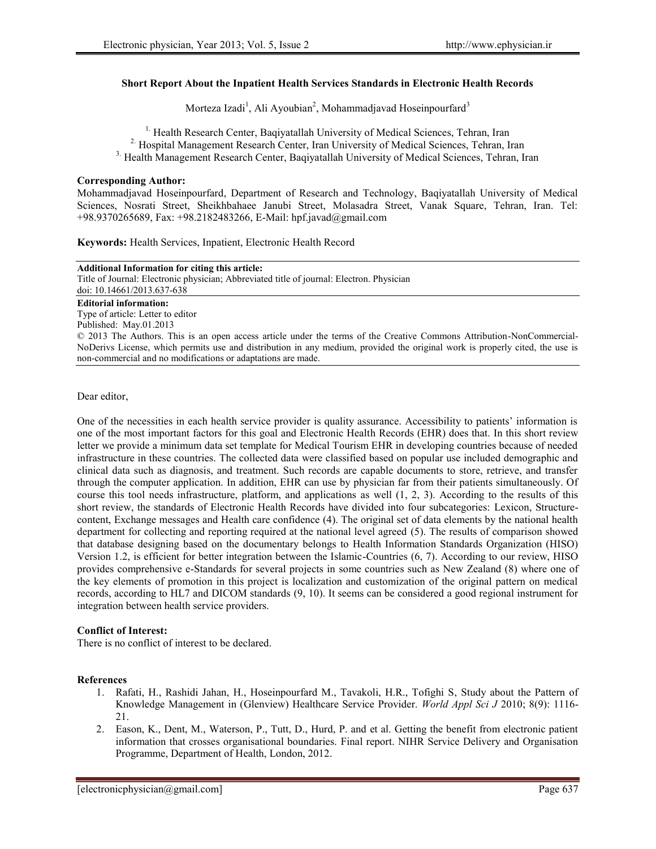## **Short Report About the Inpatient Health Services Standards in Electronic Health Records**

Morteza Izadi<sup>1</sup>, Ali Ayoubian<sup>2</sup>, Mohammadjavad Hoseinpourfard<sup>3</sup>

<sup>1.</sup> Health Research Center, Bagiyatallah University of Medical Sciences, Tehran, Iran

<sup>2</sup> Hospital Management Research Center, Iran University of Medical Sciences, Tehran, Iran

3. Health Management Research Center, Baqiyatallah University of Medical Sciences, Tehran, Iran

## **Corresponding Author:**

Mohammadjavad Hoseinpourfard, Department of Research and Technology, Baqiyatallah University of Medical Sciences, Nosrati Street, Sheikhbahaee Janubi Street, Molasadra Street, Vanak Square, Tehran, Iran. Tel: +98.9370265689, Fax: +98.2182483266, E-Mail: hpf.javad@gmail.com

**Keywords:** Health Services, Inpatient, Electronic Health Record

| <b>Additional Information for citing this article:</b>                                                                       |
|------------------------------------------------------------------------------------------------------------------------------|
| Title of Journal: Electronic physician; Abbreviated title of journal: Electron. Physician                                    |
| doi: 10.14661/2013.637-638                                                                                                   |
| <b>Editorial information:</b>                                                                                                |
| Type of article: Letter to editor                                                                                            |
| Published: May.01.2013                                                                                                       |
| © 2013 The Authors. This is an open access article under the terms of the Creative Commons Attribution-NonCommercial-        |
| NoDerivs License, which permits use and distribution in any medium, provided the original work is properly cited, the use is |
| non-commercial and no modifications or adaptations are made.                                                                 |
|                                                                                                                              |

Dear editor,

One of the necessities in each health service provider is quality assurance. Accessibility to patients' information is one of the most important factors for this goal and Electronic Health Records (EHR) does that. In this short review letter we provide a minimum data set template for Medical Tourism EHR in developing countries because of needed infrastructure in these countries. The collected data were classified based on popular use included demographic and clinical data such as diagnosis, and treatment. Such records are capable documents to store, retrieve, and transfer through the computer application. In addition, EHR can use by physician far from their patients simultaneously. Of course this tool needs infrastructure, platform, and applications as well (1, 2, 3). According to the results of this short review, the standards of Electronic Health Records have divided into four subcategories: Lexicon, Structure content, Exchange messages and Health care confidence (4). The original set of data elements by the national health department for collecting and reporting required at the national level agreed (5). The results of comparison showed that database designing based on the documentary belongs to Health Information Standards Organization (HISO) Version 1.2, is efficient for better integration between the Islamic-Countries  $(6, 7)$ . According to our review, HISO provides comprehensive e-Standards for several projects in some countries such as New Zealand (8) where one of the key elements of promotion in this project is localization and customization of the original pattern on medical records, according to HL7 and DICOM standards (9, 10). It seems can be considered a good regional instrument for integration between health service providers.

## **Conflict of Interest:**

There is no conflict of interest to be declared.

## **References**

- 1. Rafati, H., Rashidi Jahan, H., Hoseinpourfard M., Tavakoli, H.R., Tofighi S, Study about the Pattern of Knowledge Management in (Glenview) Healthcare Service Provider. *World Appl Sci J* 2010; 8(9): 1116- 21.
- 2. Eason, K., Dent, M., Waterson, P., Tutt, D., Hurd, P. and et al. Getting the benefit from electronic patient information that crosses organisational boundaries. Final report. NIHR Service Delivery and Organisation Programme, Department of Health, London, 2012.